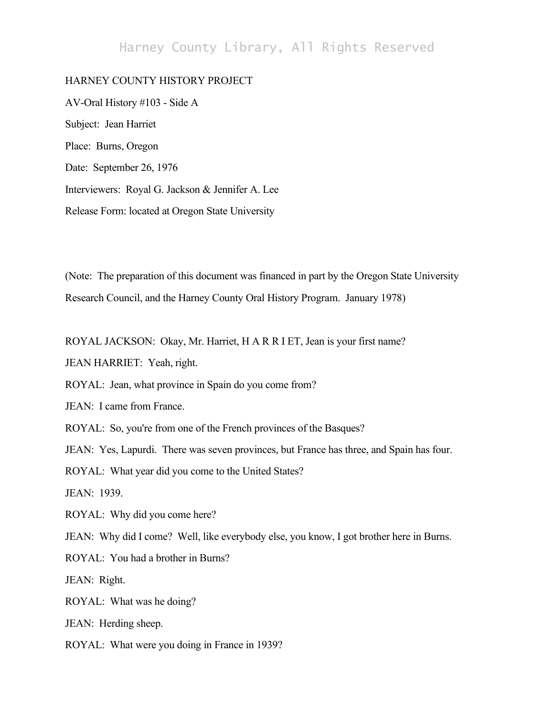## Harney County Library, All Rights Reserved

## HARNEY COUNTY HISTORY PROJECT

AV-Oral History #103 - Side A Subject: Jean Harriet Place: Burns, Oregon Date: September 26, 1976 Interviewers: Royal G. Jackson & Jennifer A. Lee Release Form: located at Oregon State University

(Note: The preparation of this document was financed in part by the Oregon State University Research Council, and the Harney County Oral History Program. January 1978)

ROYAL JACKSON: Okay, Mr. Harriet, H A R R I ET, Jean is your first name?

JEAN HARRIET: Yeah, right.

ROYAL: Jean, what province in Spain do you come from?

JEAN: I came from France.

ROYAL: So, you're from one of the French provinces of the Basques?

JEAN: Yes, Lapurdi. There was seven provinces, but France has three, and Spain has four.

ROYAL: What year did you come to the United States?

JEAN: 1939.

ROYAL: Why did you come here?

JEAN: Why did I come? Well, like everybody else, you know, I got brother here in Burns.

ROYAL: You had a brother in Burns?

JEAN: Right.

ROYAL: What was he doing?

JEAN: Herding sheep.

ROYAL: What were you doing in France in 1939?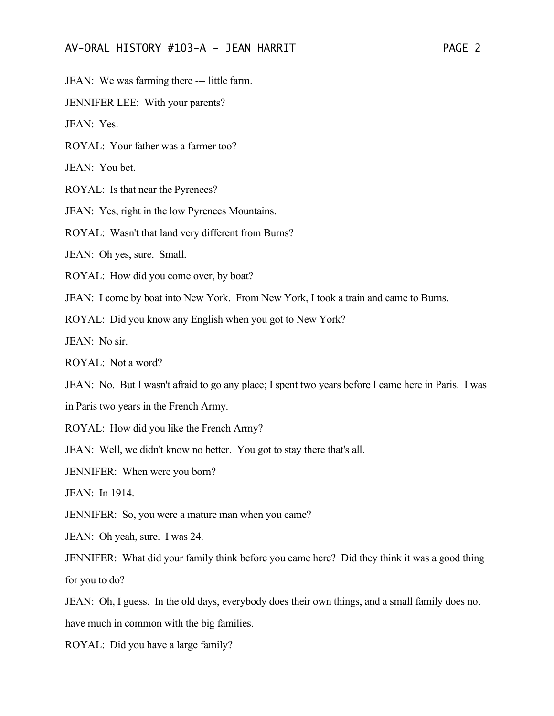JEAN: We was farming there --- little farm.

JENNIFER LEE: With your parents?

JEAN: Yes.

ROYAL: Your father was a farmer too?

JEAN: You bet.

ROYAL: Is that near the Pyrenees?

JEAN: Yes, right in the low Pyrenees Mountains.

ROYAL: Wasn't that land very different from Burns?

JEAN: Oh yes, sure. Small.

ROYAL: How did you come over, by boat?

JEAN: I come by boat into New York. From New York, I took a train and came to Burns.

ROYAL: Did you know any English when you got to New York?

JEAN: No sir.

ROYAL: Not a word?

JEAN: No. But I wasn't afraid to go any place; I spent two years before I came here in Paris. I was

in Paris two years in the French Army.

ROYAL: How did you like the French Army?

JEAN: Well, we didn't know no better. You got to stay there that's all.

JENNIFER: When were you born?

JEAN: In 1914.

JENNIFER: So, you were a mature man when you came?

JEAN: Oh yeah, sure. I was 24.

JENNIFER: What did your family think before you came here? Did they think it was a good thing for you to do?

JEAN: Oh, I guess. In the old days, everybody does their own things, and a small family does not have much in common with the big families.

ROYAL: Did you have a large family?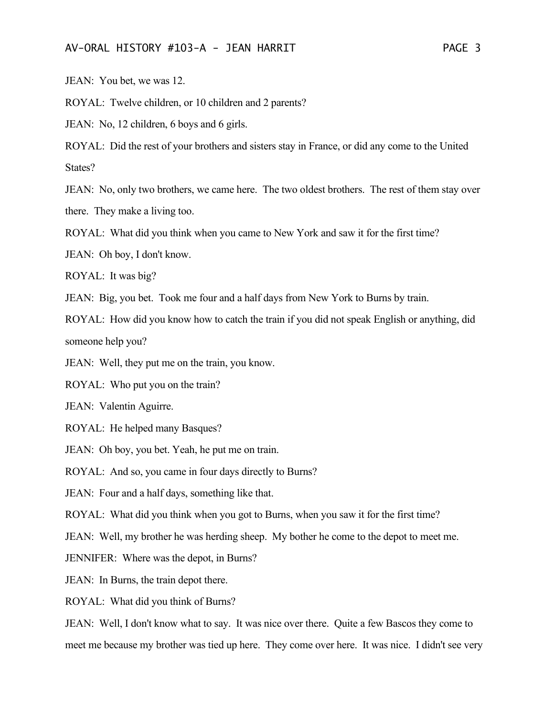JEAN: You bet, we was 12.

ROYAL: Twelve children, or 10 children and 2 parents?

JEAN: No, 12 children, 6 boys and 6 girls.

ROYAL: Did the rest of your brothers and sisters stay in France, or did any come to the United States?

JEAN: No, only two brothers, we came here. The two oldest brothers. The rest of them stay over there. They make a living too.

ROYAL: What did you think when you came to New York and saw it for the first time?

JEAN: Oh boy, I don't know.

ROYAL: It was big?

JEAN: Big, you bet. Took me four and a half days from New York to Burns by train.

ROYAL: How did you know how to catch the train if you did not speak English or anything, did someone help you?

JEAN: Well, they put me on the train, you know.

ROYAL: Who put you on the train?

JEAN: Valentin Aguirre.

ROYAL: He helped many Basques?

JEAN: Oh boy, you bet. Yeah, he put me on train.

ROYAL: And so, you came in four days directly to Burns?

JEAN: Four and a half days, something like that.

ROYAL: What did you think when you got to Burns, when you saw it for the first time?

JEAN: Well, my brother he was herding sheep. My bother he come to the depot to meet me.

JENNIFER: Where was the depot, in Burns?

JEAN: In Burns, the train depot there.

ROYAL: What did you think of Burns?

JEAN: Well, I don't know what to say. It was nice over there. Quite a few Bascos they come to meet me because my brother was tied up here. They come over here. It was nice. I didn't see very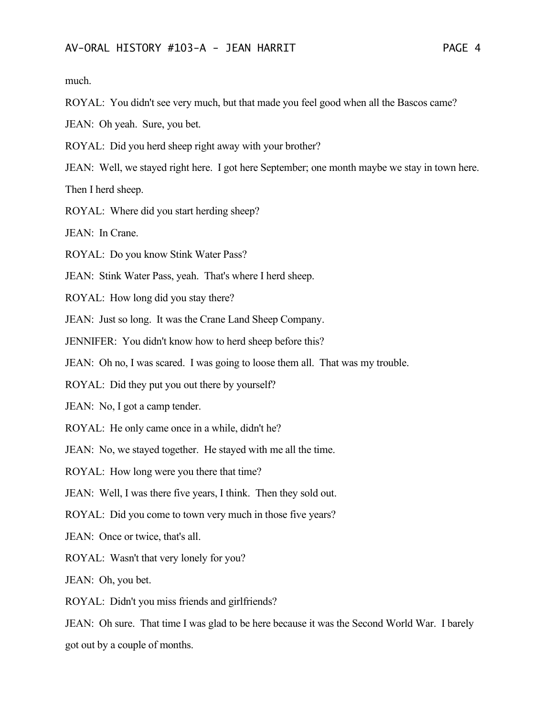much.

ROYAL: You didn't see very much, but that made you feel good when all the Bascos came?

JEAN: Oh yeah. Sure, you bet.

ROYAL: Did you herd sheep right away with your brother?

JEAN: Well, we stayed right here. I got here September; one month maybe we stay in town here.

Then I herd sheep.

ROYAL: Where did you start herding sheep?

JEAN: In Crane.

ROYAL: Do you know Stink Water Pass?

JEAN: Stink Water Pass, yeah. That's where I herd sheep.

ROYAL: How long did you stay there?

JEAN: Just so long. It was the Crane Land Sheep Company.

JENNIFER: You didn't know how to herd sheep before this?

JEAN: Oh no, I was scared. I was going to loose them all. That was my trouble.

ROYAL: Did they put you out there by yourself?

JEAN: No, I got a camp tender.

ROYAL: He only came once in a while, didn't he?

JEAN: No, we stayed together. He stayed with me all the time.

ROYAL: How long were you there that time?

JEAN: Well, I was there five years, I think. Then they sold out.

ROYAL: Did you come to town very much in those five years?

JEAN: Once or twice, that's all.

ROYAL: Wasn't that very lonely for you?

JEAN: Oh, you bet.

ROYAL: Didn't you miss friends and girlfriends?

JEAN: Oh sure. That time I was glad to be here because it was the Second World War. I barely got out by a couple of months.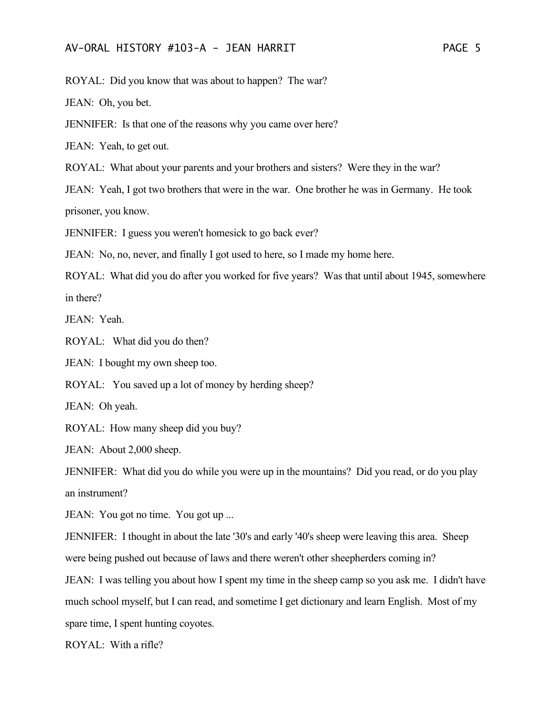ROYAL: Did you know that was about to happen? The war?

JEAN: Oh, you bet.

JENNIFER: Is that one of the reasons why you came over here?

JEAN: Yeah, to get out.

ROYAL: What about your parents and your brothers and sisters? Were they in the war?

JEAN: Yeah, I got two brothers that were in the war. One brother he was in Germany. He took prisoner, you know.

JENNIFER: I guess you weren't homesick to go back ever?

JEAN: No, no, never, and finally I got used to here, so I made my home here.

ROYAL: What did you do after you worked for five years? Was that until about 1945, somewhere in there?

JEAN: Yeah.

ROYAL: What did you do then?

JEAN: I bought my own sheep too.

ROYAL: You saved up a lot of money by herding sheep?

JEAN: Oh yeah.

ROYAL: How many sheep did you buy?

JEAN: About 2,000 sheep.

JENNIFER: What did you do while you were up in the mountains? Did you read, or do you play an instrument?

JEAN: You got no time. You got up ...

JENNIFER: I thought in about the late '30's and early '40's sheep were leaving this area. Sheep were being pushed out because of laws and there weren't other sheepherders coming in?

JEAN: I was telling you about how I spent my time in the sheep camp so you ask me. I didn't have much school myself, but I can read, and sometime I get dictionary and learn English. Most of my spare time, I spent hunting coyotes.

ROYAL: With a rifle?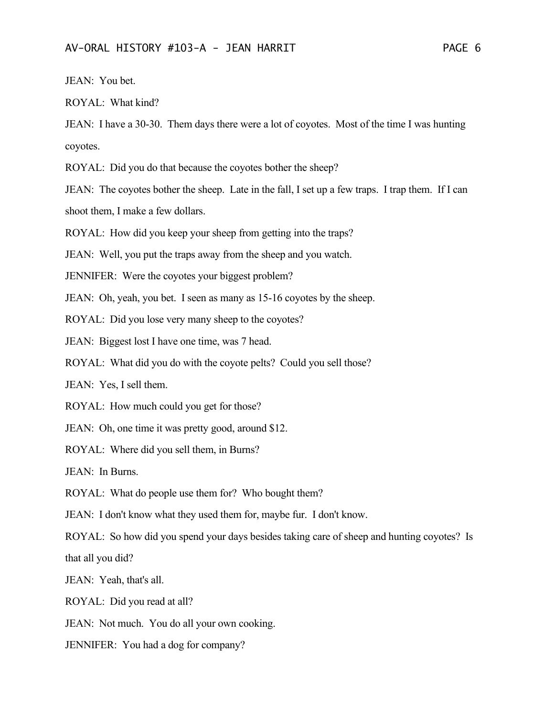JEAN: You bet.

ROYAL: What kind?

JEAN: I have a 30-30. Them days there were a lot of coyotes. Most of the time I was hunting coyotes.

ROYAL: Did you do that because the coyotes bother the sheep?

JEAN: The coyotes bother the sheep. Late in the fall, I set up a few traps. I trap them. If I can shoot them, I make a few dollars.

ROYAL: How did you keep your sheep from getting into the traps?

JEAN: Well, you put the traps away from the sheep and you watch.

JENNIFER: Were the coyotes your biggest problem?

JEAN: Oh, yeah, you bet. I seen as many as 15-16 coyotes by the sheep.

ROYAL: Did you lose very many sheep to the coyotes?

JEAN: Biggest lost I have one time, was 7 head.

ROYAL: What did you do with the coyote pelts? Could you sell those?

JEAN: Yes, I sell them.

ROYAL: How much could you get for those?

JEAN: Oh, one time it was pretty good, around \$12.

ROYAL: Where did you sell them, in Burns?

JEAN: In Burns.

ROYAL: What do people use them for? Who bought them?

JEAN: I don't know what they used them for, maybe fur. I don't know.

ROYAL: So how did you spend your days besides taking care of sheep and hunting coyotes? Is that all you did?

JEAN: Yeah, that's all.

ROYAL: Did you read at all?

JEAN: Not much. You do all your own cooking.

JENNIFER: You had a dog for company?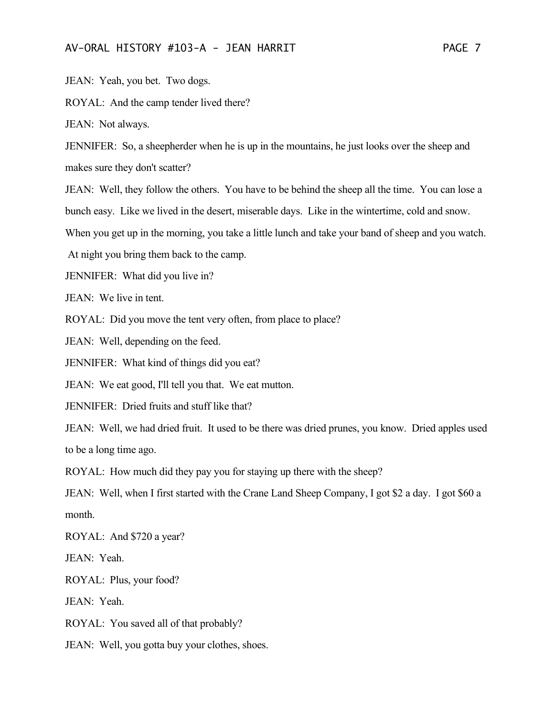JEAN: Yeah, you bet. Two dogs.

ROYAL: And the camp tender lived there?

JEAN: Not always.

JENNIFER: So, a sheepherder when he is up in the mountains, he just looks over the sheep and makes sure they don't scatter?

JEAN: Well, they follow the others. You have to be behind the sheep all the time. You can lose a bunch easy. Like we lived in the desert, miserable days. Like in the wintertime, cold and snow.

When you get up in the morning, you take a little lunch and take your band of sheep and you watch.

At night you bring them back to the camp.

JENNIFER: What did you live in?

JEAN: We live in tent.

ROYAL: Did you move the tent very often, from place to place?

JEAN: Well, depending on the feed.

JENNIFER: What kind of things did you eat?

JEAN: We eat good, I'll tell you that. We eat mutton.

JENNIFER: Dried fruits and stuff like that?

JEAN: Well, we had dried fruit. It used to be there was dried prunes, you know. Dried apples used to be a long time ago.

ROYAL: How much did they pay you for staying up there with the sheep?

JEAN: Well, when I first started with the Crane Land Sheep Company, I got \$2 a day. I got \$60 a month.

ROYAL: And \$720 a year?

JEAN: Yeah.

ROYAL: Plus, your food?

JEAN: Yeah.

ROYAL: You saved all of that probably?

JEAN: Well, you gotta buy your clothes, shoes.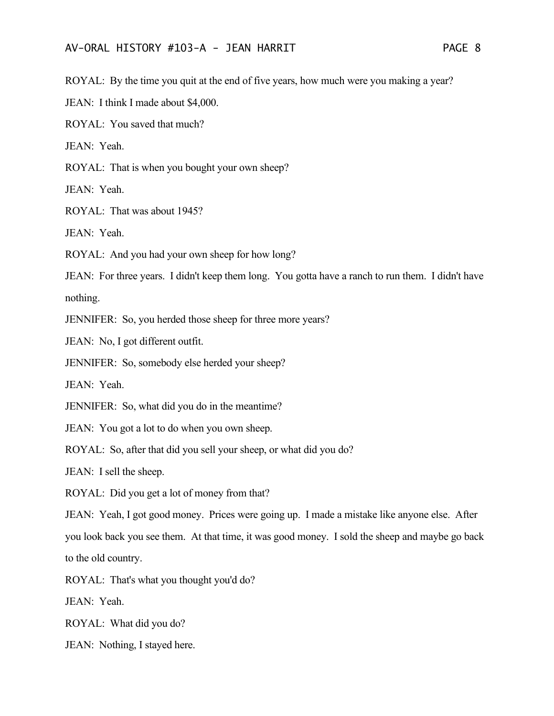ROYAL: By the time you quit at the end of five years, how much were you making a year?

JEAN: I think I made about \$4,000.

ROYAL: You saved that much?

JEAN: Yeah.

ROYAL: That is when you bought your own sheep?

JEAN: Yeah.

ROYAL: That was about 1945?

JEAN: Yeah.

ROYAL: And you had your own sheep for how long?

JEAN: For three years. I didn't keep them long. You gotta have a ranch to run them. I didn't have nothing.

JENNIFER: So, you herded those sheep for three more years?

JEAN: No, I got different outfit.

JENNIFER: So, somebody else herded your sheep?

JEAN: Yeah.

JENNIFER: So, what did you do in the meantime?

JEAN: You got a lot to do when you own sheep.

ROYAL: So, after that did you sell your sheep, or what did you do?

JEAN: I sell the sheep.

ROYAL: Did you get a lot of money from that?

JEAN: Yeah, I got good money. Prices were going up. I made a mistake like anyone else. After you look back you see them. At that time, it was good money. I sold the sheep and maybe go back to the old country.

ROYAL: That's what you thought you'd do?

JEAN: Yeah.

ROYAL: What did you do?

JEAN: Nothing, I stayed here.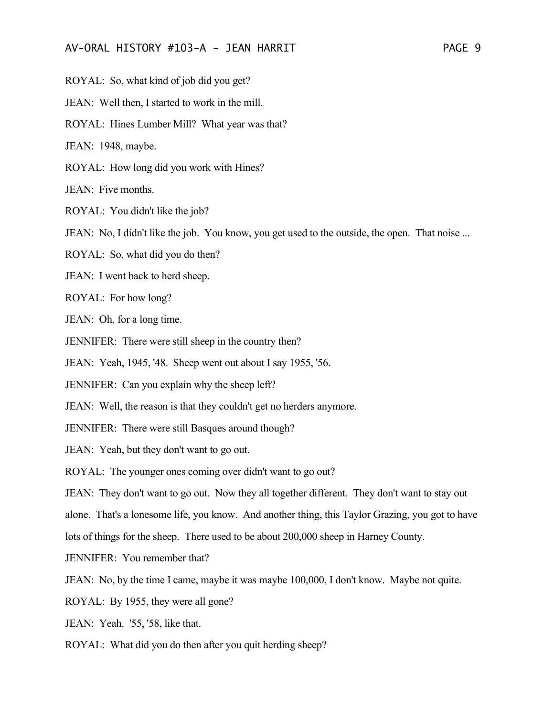ROYAL: So, what kind of job did you get?

JEAN: Well then, I started to work in the mill.

ROYAL: Hines Lumber Mill? What year was that?

JEAN: 1948, maybe.

ROYAL: How long did you work with Hines?

JEAN: Five months.

ROYAL: You didn't like the job?

JEAN: No, I didn't like the job. You know, you get used to the outside, the open. That noise ...

ROYAL: So, what did you do then?

JEAN: I went back to herd sheep.

ROYAL: For how long?

JEAN: Oh, for a long time.

JENNIFER: There were still sheep in the country then?

JEAN: Yeah, 1945, '48. Sheep went out about I say 1955, '56.

JENNIFER: Can you explain why the sheep left?

JEAN: Well, the reason is that they couldn't get no herders anymore.

JENNIFER: There were still Basques around though?

JEAN: Yeah, but they don't want to go out.

ROYAL: The younger ones coming over didn't want to go out?

JEAN: They don't want to go out. Now they all together different. They don't want to stay out

alone. That's a lonesome life, you know. And another thing, this Taylor Grazing, you got to have

lots of things for the sheep. There used to be about 200,000 sheep in Harney County.

JENNIFER: You remember that?

JEAN: No, by the time I came, maybe it was maybe 100,000, I don't know. Maybe not quite.

ROYAL: By 1955, they were all gone?

JEAN: Yeah. '55, '58, like that.

ROYAL: What did you do then after you quit herding sheep?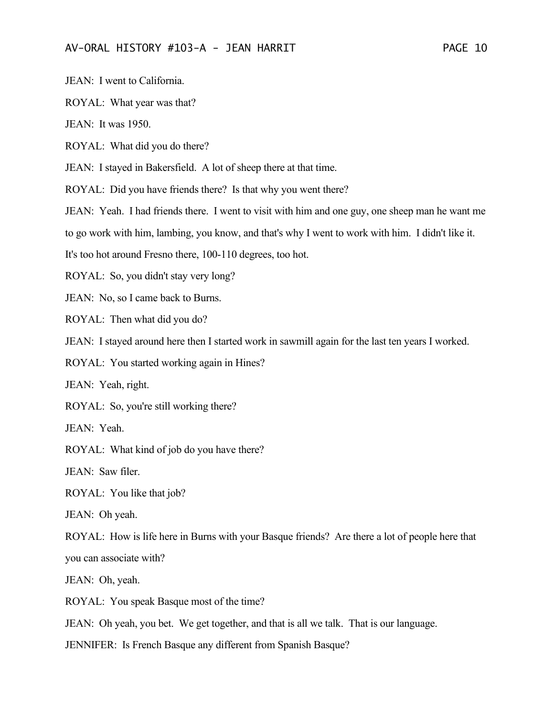JEAN: I went to California.

ROYAL: What year was that?

JEAN: It was 1950.

ROYAL: What did you do there?

JEAN: I stayed in Bakersfield. A lot of sheep there at that time.

ROYAL: Did you have friends there? Is that why you went there?

JEAN: Yeah. I had friends there. I went to visit with him and one guy, one sheep man he want me

to go work with him, lambing, you know, and that's why I went to work with him. I didn't like it.

It's too hot around Fresno there, 100-110 degrees, too hot.

ROYAL: So, you didn't stay very long?

JEAN: No, so I came back to Burns.

ROYAL: Then what did you do?

JEAN: I stayed around here then I started work in sawmill again for the last ten years I worked.

ROYAL: You started working again in Hines?

JEAN: Yeah, right.

ROYAL: So, you're still working there?

JEAN: Yeah.

ROYAL: What kind of job do you have there?

JEAN: Saw filer.

ROYAL: You like that job?

JEAN: Oh yeah.

ROYAL: How is life here in Burns with your Basque friends? Are there a lot of people here that you can associate with?

JEAN: Oh, yeah.

ROYAL: You speak Basque most of the time?

JEAN: Oh yeah, you bet. We get together, and that is all we talk. That is our language.

JENNIFER: Is French Basque any different from Spanish Basque?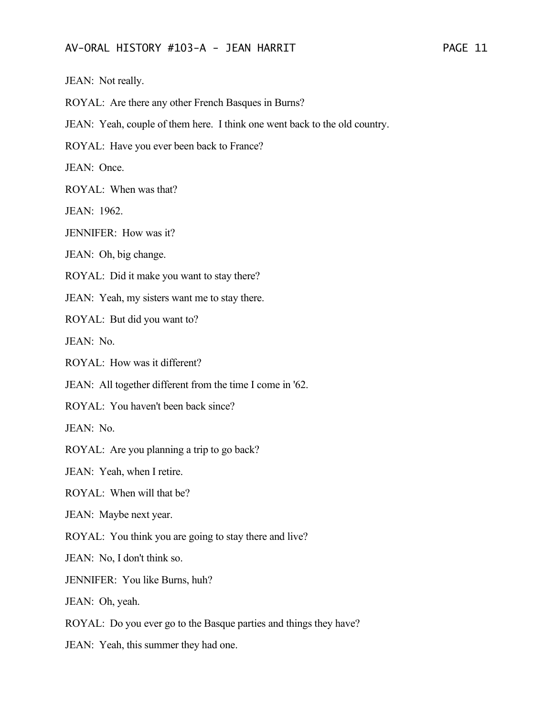JEAN: Not really.

ROYAL: Are there any other French Basques in Burns?

JEAN: Yeah, couple of them here. I think one went back to the old country.

ROYAL: Have you ever been back to France?

JEAN: Once.

ROYAL: When was that?

JEAN: 1962.

JENNIFER: How was it?

JEAN: Oh, big change.

ROYAL: Did it make you want to stay there?

JEAN: Yeah, my sisters want me to stay there.

ROYAL: But did you want to?

JEAN: No.

ROYAL: How was it different?

JEAN: All together different from the time I come in '62.

ROYAL: You haven't been back since?

JEAN: No.

ROYAL: Are you planning a trip to go back?

JEAN: Yeah, when I retire.

ROYAL: When will that be?

JEAN: Maybe next year.

ROYAL: You think you are going to stay there and live?

JEAN: No, I don't think so.

JENNIFER: You like Burns, huh?

JEAN: Oh, yeah.

ROYAL: Do you ever go to the Basque parties and things they have?

JEAN: Yeah, this summer they had one.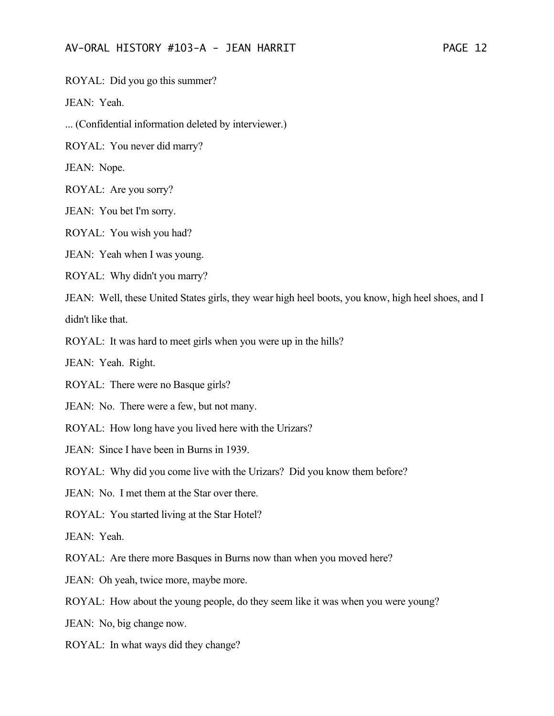ROYAL: Did you go this summer?

JEAN: Yeah.

... (Confidential information deleted by interviewer.)

ROYAL: You never did marry?

JEAN: Nope.

ROYAL: Are you sorry?

JEAN: You bet I'm sorry.

ROYAL: You wish you had?

JEAN: Yeah when I was young.

ROYAL: Why didn't you marry?

JEAN: Well, these United States girls, they wear high heel boots, you know, high heel shoes, and I didn't like that.

ROYAL: It was hard to meet girls when you were up in the hills?

JEAN: Yeah. Right.

ROYAL: There were no Basque girls?

JEAN: No. There were a few, but not many.

ROYAL: How long have you lived here with the Urizars?

JEAN: Since I have been in Burns in 1939.

ROYAL: Why did you come live with the Urizars? Did you know them before?

JEAN: No. I met them at the Star over there.

ROYAL: You started living at the Star Hotel?

JEAN: Yeah.

ROYAL: Are there more Basques in Burns now than when you moved here?

JEAN: Oh yeah, twice more, maybe more.

ROYAL: How about the young people, do they seem like it was when you were young?

JEAN: No, big change now.

ROYAL: In what ways did they change?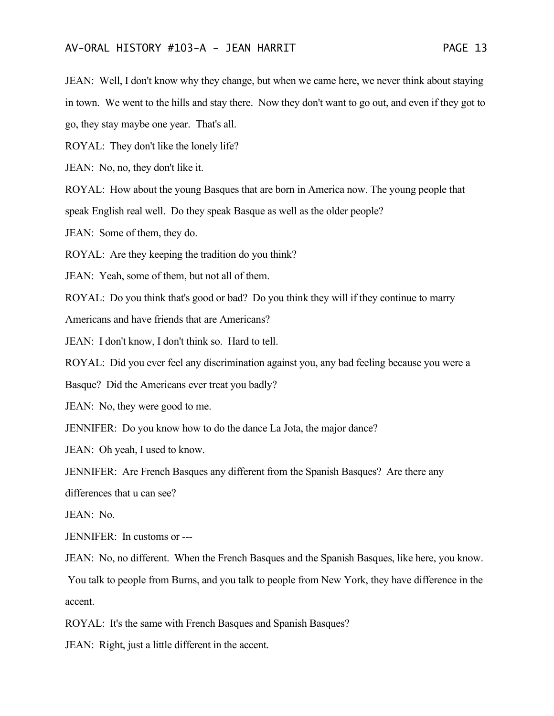JEAN: Well, I don't know why they change, but when we came here, we never think about staying in town. We went to the hills and stay there. Now they don't want to go out, and even if they got to go, they stay maybe one year. That's all.

ROYAL: They don't like the lonely life?

JEAN: No, no, they don't like it.

ROYAL: How about the young Basques that are born in America now. The young people that

speak English real well. Do they speak Basque as well as the older people?

JEAN: Some of them, they do.

ROYAL: Are they keeping the tradition do you think?

JEAN: Yeah, some of them, but not all of them.

ROYAL: Do you think that's good or bad? Do you think they will if they continue to marry

Americans and have friends that are Americans?

JEAN: I don't know, I don't think so. Hard to tell.

ROYAL: Did you ever feel any discrimination against you, any bad feeling because you were a

Basque? Did the Americans ever treat you badly?

JEAN: No, they were good to me.

JENNIFER: Do you know how to do the dance La Jota, the major dance?

JEAN: Oh yeah, I used to know.

JENNIFER: Are French Basques any different from the Spanish Basques? Are there any

differences that u can see?

JEAN: No.

JENNIFER: In customs or ---

JEAN: No, no different. When the French Basques and the Spanish Basques, like here, you know. You talk to people from Burns, and you talk to people from New York, they have difference in the accent.

ROYAL: It's the same with French Basques and Spanish Basques?

JEAN: Right, just a little different in the accent.